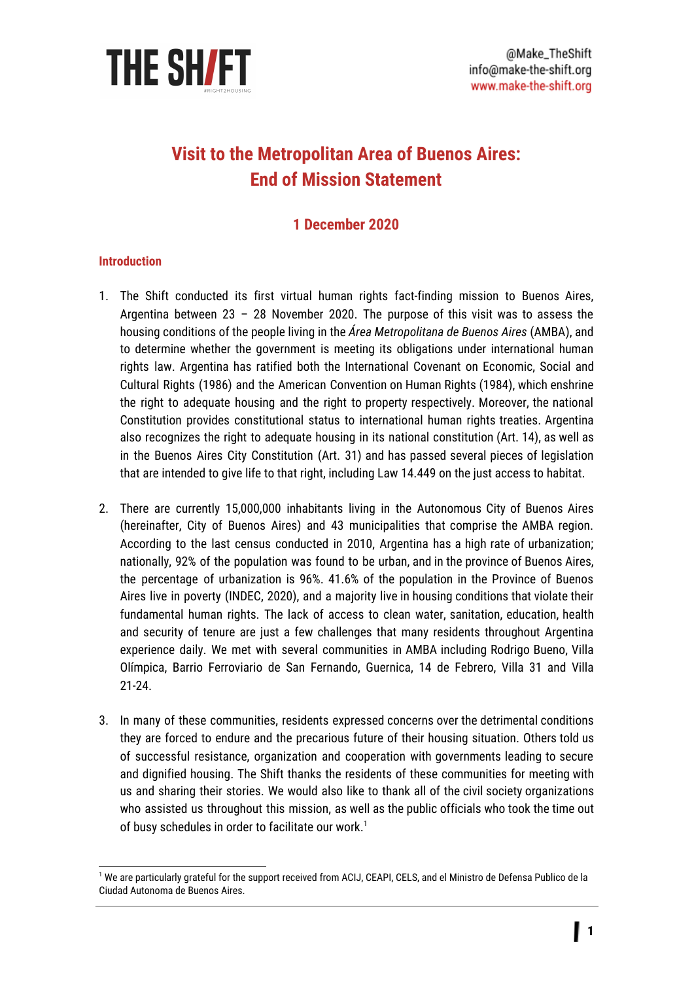

# **Visit to the Metropolitan Area of Buenos Aires: End of Mission Statement**

## **1 December 2020**

#### **Introduction**

- 1. The Shift conducted its first virtual human rights fact-finding mission to Buenos Aires, Argentina between 23 – 28 November 2020. The purpose of this visit was to assess the housing conditions of the people living in the *Área Metropolitana de Buenos Aires* (AMBA), and to determine whether the government is meeting its obligations under international human rights law. Argentina has ratified both the International Covenant on Economic, Social and Cultural Rights (1986) and the American Convention on Human Rights (1984), which enshrine the right to adequate housing and the right to property respectively. Moreover, the national Constitution provides constitutional status to international human rights treaties. Argentina also recognizes the right to adequate housing in its national constitution (Art. 14), as well as in the Buenos Aires City Constitution (Art. 31) and has passed several pieces of legislation that are intended to give life to that right, including Law 14.449 on the just access to habitat.
- 2. There are currently 15,000,000 inhabitants living in the Autonomous City of Buenos Aires (hereinafter, City of Buenos Aires) and 43 municipalities that comprise the AMBA region. According to the last census conducted in 2010, Argentina has a high rate of urbanization; nationally, 92% of the population was found to be urban, and in the province of Buenos Aires, the percentage of urbanization is 96%. 41.6% of the population in the Province of Buenos Aires live in poverty (INDEC, 2020), and a majority live in housing conditions that violate their fundamental human rights. The lack of access to clean water, sanitation, education, health and security of tenure are just a few challenges that many residents throughout Argentina experience daily. We met with several communities in AMBA including Rodrigo Bueno, Villa Olímpica, Barrio Ferroviario de San Fernando, Guernica, 14 de Febrero, Villa 31 and Villa 21-24.
- 3. In many of these communities, residents expressed concerns over the detrimental conditions they are forced to endure and the precarious future of their housing situation. Others told us of successful resistance, organization and cooperation with governments leading to secure and dignified housing. The Shift thanks the residents of these communities for meeting with us and sharing their stories. We would also like to thank all of the civil society organizations who assisted us throughout this mission, as well as the public officials who took the time out of busy schedules in order to facilitate our work. $^1$

<sup>1</sup> We are particularly grateful for the support received from ACIJ, CEAPI, CELS, and el Ministro de Defensa Publico de la Ciudad Autonoma de Buenos Aires.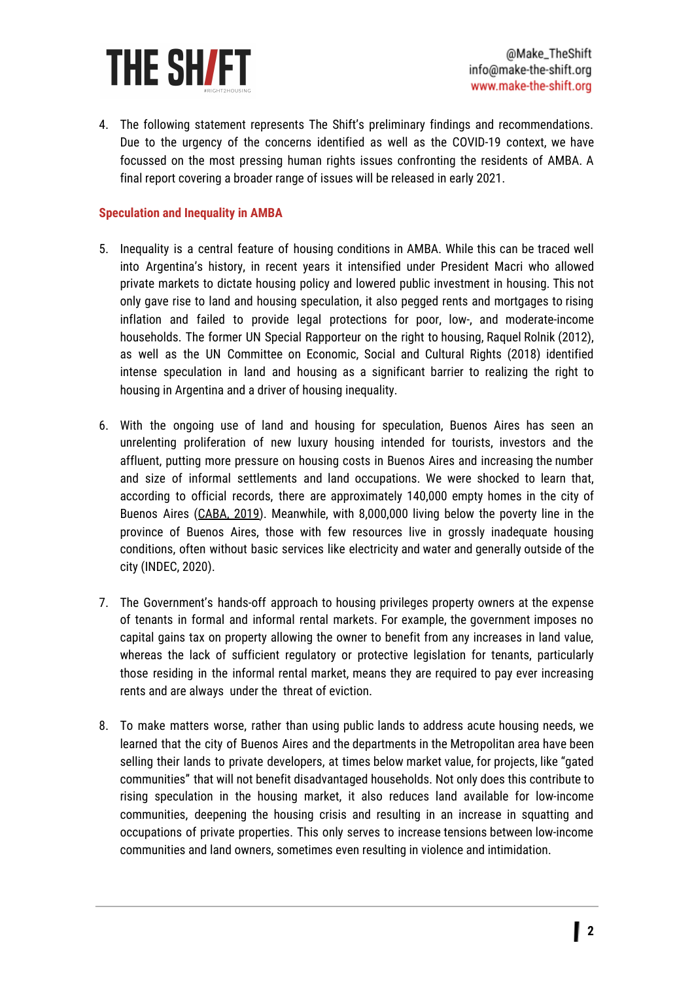

4. The following statement represents The Shift's preliminary findings and recommendations. Due to the urgency of the concerns identified as well as the COVID-19 context, we have focussed on the most pressing human rights issues confronting the residents of AMBA. A final report covering a broader range of issues will be released in early 2021.

#### **Speculation and Inequality in AMBA**

- 5. Inequality is a central feature of housing conditions in AMBA. While this can be traced well into Argentina's history, in recent years it intensified under President Macri who allowed private markets to dictate housing policy and lowered public investment in housing. This not only gave rise to land and housing speculation, it also pegged rents and mortgages to rising inflation and failed to provide legal protections for poor, low-, and moderate-income households. The former UN Special Rapporteur on the right to housing, Raquel Rolnik (2012), as well as the UN Committee on Economic, Social and Cultural Rights (2018) identified intense speculation in land and housing as a significant barrier to realizing the right to housing in Argentina and a driver of housing inequality.
- 6. With the ongoing use of land and housing for speculation, Buenos Aires has seen an unrelenting proliferation of new luxury housing intended for tourists, investors and the affluent, putting more pressure on housing costs in Buenos Aires and increasing the number and size of informal settlements and land occupations. We were shocked to learn that, according to official records, there are approximately 140,000 empty homes in the city of Buenos Aires [\(CABA,](https://www.buenosaires.gob.ar/sites/gcaba/files/informe_mesa_de_estudio_de_viviendas_vacias.pdf) 2019). Meanwhile, with 8,000,000 living below the poverty line in the province of Buenos Aires, those with few resources live in grossly inadequate housing conditions, often without basic services like electricity and water and generally outside of the city (INDEC, 2020).
- 7. The Government's hands-off approach to housing privileges property owners at the expense of tenants in formal and informal rental markets. For example, the government imposes no capital gains tax on property allowing the owner to benefit from any increases in land value, whereas the lack of sufficient regulatory or protective legislation for tenants, particularly those residing in the informal rental market, means they are required to pay ever increasing rents and are always under the threat of eviction.
- 8. To make matters worse, rather than using public lands to address acute housing needs, we learned that the city of Buenos Aires and the departments in the Metropolitan area have been selling their lands to private developers, at times below market value, for projects, like "gated communities" that will not benefit disadvantaged households. Not only does this contribute to rising speculation in the housing market, it also reduces land available for low-income communities, deepening the housing crisis and resulting in an increase in squatting and occupations of private properties. This only serves to increase tensions between low-income communities and land owners, sometimes even resulting in violence and intimidation.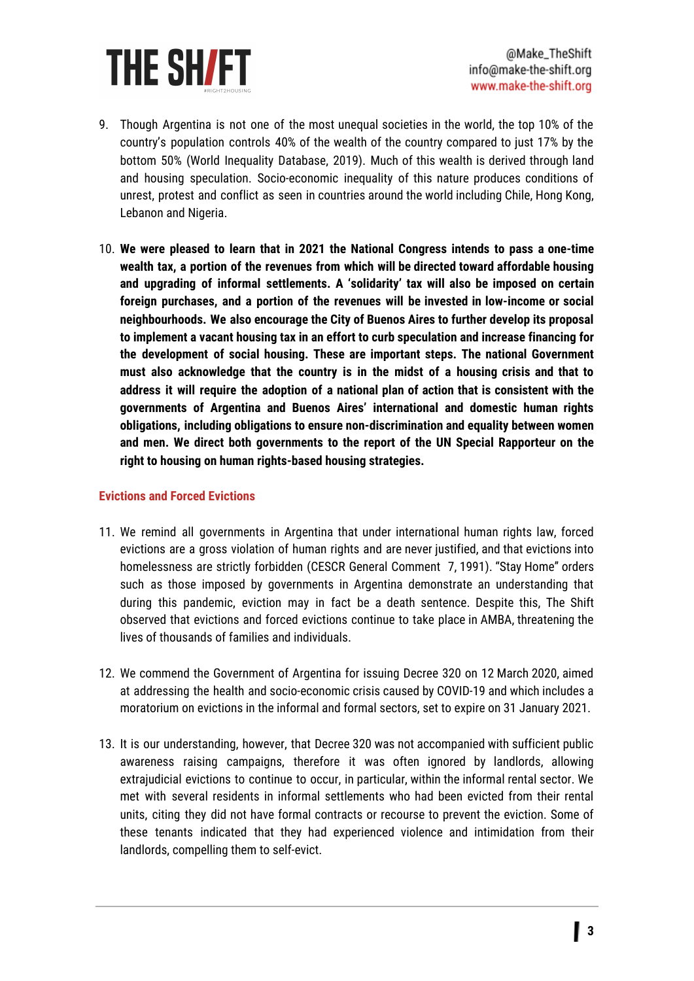

- 9. Though Argentina is not one of the most unequal societies in the world, the top 10% of the country's population controls 40% of the wealth of the country compared to just 17% by the bottom 50% (World Inequality Database, 2019). Much of this wealth is derived through land and housing speculation. Socio-economic inequality of this nature produces conditions of unrest, protest and conflict as seen in countries around the world including Chile, Hong Kong, Lebanon and Nigeria.
- 10. **We were pleased to learn that in 2021 the National Congress intends to pass a one-time wealth tax, a portion of the revenues from which will be directed toward affordable housing and upgrading of informal settlements. A 'solidarity' tax will also be imposed on certain foreign purchases, and a portion of the revenues will be invested in low-income or social neighbourhoods. We also encourage the City of Buenos Aires to further develop its proposal to implement a vacant housing tax in an effort to curb speculation and increase financing for the development of social housing. These are important steps. The national Government must also acknowledge that the country is in the midst of a housing crisis and that to address it will require the adoption of a national plan of action that is consistent with the governments of Argentina and Buenos Aires' international and domestic human rights obligations, including obligations to ensure non-discrimination and equality between women and men. We direct both governments to the report of the UN Special Rapporteur on the right to housing on human rights-based housing strategies.**

#### **Evictions and Forced Evictions**

- 11. We remind all governments in Argentina that under international human rights law, forced evictions are a gross violation of human rights and are never justified, and that evictions into homelessness are strictly forbidden (CESCR General Comment 7, 1991). "Stay Home" orders such as those imposed by governments in Argentina demonstrate an understanding that during this pandemic, eviction may in fact be a death sentence. Despite this, The Shift observed that evictions and forced evictions continue to take place in AMBA, threatening the lives of thousands of families and individuals.
- 12. We commend the Government of Argentina for issuing Decree 320 on 12 March 2020, aimed at addressing the health and socio-economic crisis caused by COVID-19 and which includes a moratorium on evictions in the informal and formal sectors, set to expire on 31 January 2021.
- 13. It is our understanding, however, that Decree 320 was not accompanied with sufficient public awareness raising campaigns, therefore it was often ignored by landlords, allowing extrajudicial evictions to continue to occur, in particular, within the informal rental sector. We met with several residents in informal settlements who had been evicted from their rental units, citing they did not have formal contracts or recourse to prevent the eviction. Some of these tenants indicated that they had experienced violence and intimidation from their landlords, compelling them to self-evict.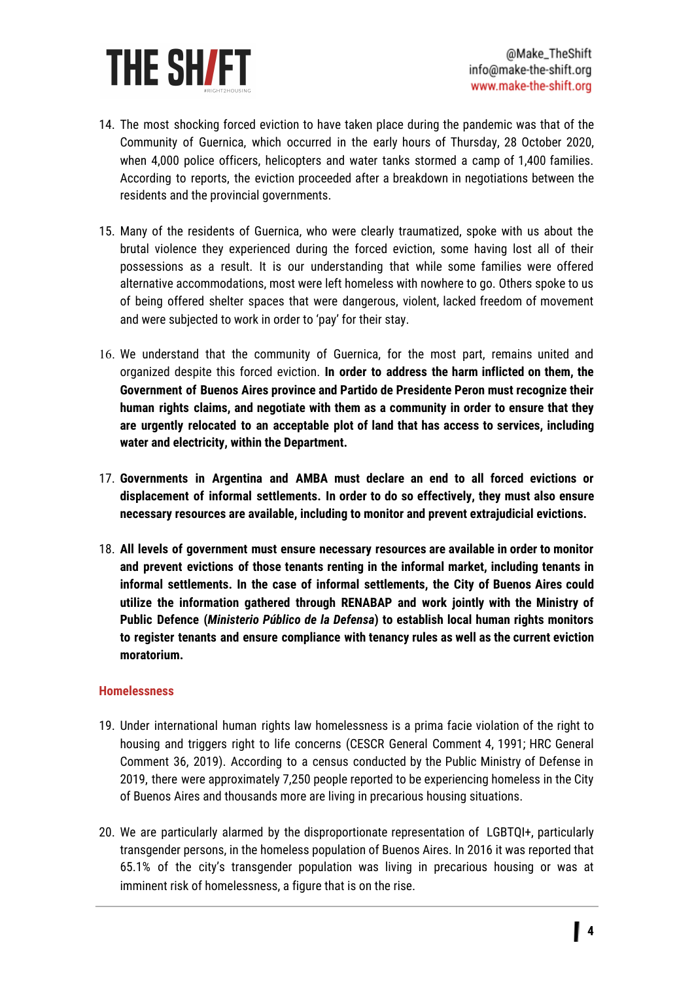

- 14. The most shocking forced eviction to have taken place during the pandemic was that of the Community of Guernica, which occurred in the early hours of Thursday, 28 October 2020, when 4,000 police officers, helicopters and water tanks stormed a camp of 1,400 families. According to reports, the eviction proceeded after a breakdown in negotiations between the residents and the provincial governments.
- 15. Many of the residents of Guernica, who were clearly traumatized, spoke with us about the brutal violence they experienced during the forced eviction, some having lost all of their possessions as a result. It is our understanding that while some families were offered alternative accommodations, most were left homeless with nowhere to go. Others spoke to us of being offered shelter spaces that were dangerous, violent, lacked freedom of movement and were subjected to work in order to 'pay' for their stay.
- 16. We understand that the community of Guernica, for the most part, remains united and organized despite this forced eviction. **In order to address the harm inflicted on them, the Government of Buenos Aires province and Partido de Presidente Peron must recognize their human rights claims, and negotiate with them as a community in order to ensure that they are urgently relocated to an acceptable plot of land that has access to services, including water and electricity, within the Department.**
- 17. **Governments in Argentina and AMBA must declare an end to all forced evictions or displacement of informal settlements. In order to do so effectively, they must also ensure necessary resources are available, including to monitor and prevent extrajudicial evictions.**
- 18. **All levels of government must ensure necessary resources are available in order to monitor and prevent evictions of those tenants renting in the informal market, including tenants in informal settlements. In the case of informal settlements, the City of Buenos Aires could utilize the information gathered through RENABAP and work jointly with the Ministry of Public Defence (***Ministerio Público de la Defensa***) to establish local human rights monitors to register tenants and ensure compliance with tenancy rules as well as the current eviction moratorium.**

#### **Homelessness**

- 19. Under international human rights law homelessness is a prima facie violation of the right to housing and triggers right to life concerns (CESCR General Comment 4, 1991; HRC General Comment 36, 2019). According to a census conducted by the Public Ministry of Defense in 2019, there were approximately 7,250 people reported to be experiencing homeless in the City of Buenos Aires and thousands more are living in precarious housing situations.
- 20. We are particularly alarmed by the disproportionate representation of LGBTQI+, particularly transgender persons, in the homeless population of Buenos Aires. In 2016 it was reported that 65.1% of the city's transgender population was living in precarious housing or was at imminent risk of homelessness, a figure that is on the rise.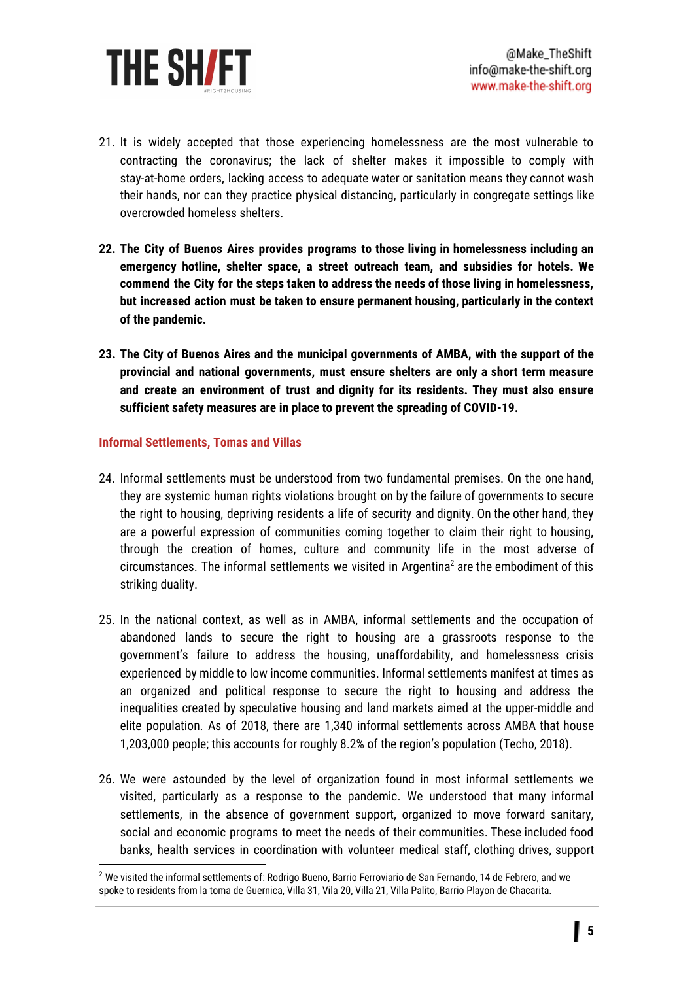

- 21. It is widely accepted that those experiencing homelessness are the most vulnerable to contracting the coronavirus; the lack of shelter makes it impossible to comply with stay-at-home orders, lacking access to adequate water or sanitation means they cannot wash their hands, nor can they practice physical distancing, particularly in congregate settings like overcrowded homeless shelters.
- **22. The City of Buenos Aires provides programs to those living in homelessness including an emergency hotline, shelter space, a street outreach team, and subsidies for hotels. We commend the City for the steps taken to address the needs of those living in homelessness, but increased action must be taken to ensure permanent housing, particularly in the context of the pandemic.**
- **23. The City of Buenos Aires and the municipal governments of AMBA, with the support of the provincial and national governments, must ensure shelters are only a short term measure and create an environment of trust and dignity for its residents. They must also ensure sufficient safety measures are in place to prevent the spreading of COVID-19.**

#### **Informal Settlements, Tomas and Villas**

- 24. Informal settlements must be understood from two fundamental premises. On the one hand, they are systemic human rights violations brought on by the failure of governments to secure the right to housing, depriving residents a life of security and dignity. On the other hand, they are a powerful expression of communities coming together to claim their right to housing, through the creation of homes, culture and community life in the most adverse of circumstances. The informal settlements we visited in Argentina<sup>2</sup> are the embodiment of this striking duality.
- 25. In the national context, as well as in AMBA, informal settlements and the occupation of abandoned lands to secure the right to housing are a grassroots response to the government's failure to address the housing, unaffordability, and homelessness crisis experienced by middle to low income communities. Informal settlements manifest at times as an organized and political response to secure the right to housing and address the inequalities created by speculative housing and land markets aimed at the upper-middle and elite population. As of 2018, there are 1,340 informal settlements across AMBA that house 1,203,000 people; this accounts for roughly 8.2% of the region's population (Techo, 2018).
- 26. We were astounded by the level of organization found in most informal settlements we visited, particularly as a response to the pandemic. We understood that many informal settlements, in the absence of government support, organized to move forward sanitary, social and economic programs to meet the needs of their communities. These included food banks, health services in coordination with volunteer medical staff, clothing drives, support

<sup>&</sup>lt;sup>2</sup> We visited the informal settlements of: Rodrigo Bueno, Barrio Ferroviario de San Fernando, 14 de Febrero, and we spoke to residents from la toma de Guernica, Villa 31, Vila 20, Villa 21, Villa Palito, Barrio Playon de Chacarita.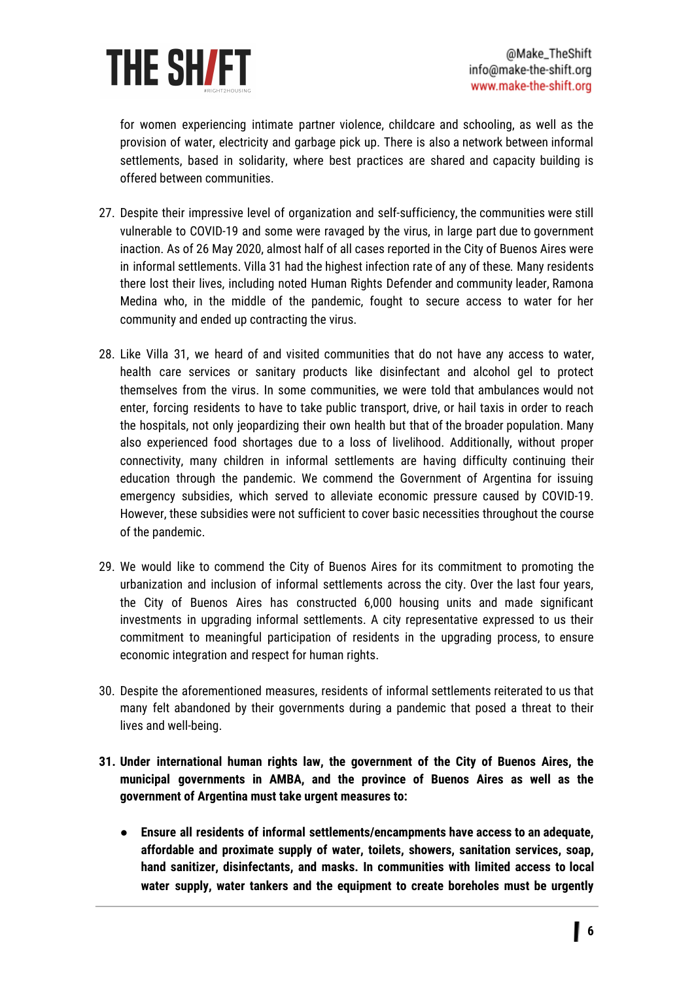

for women experiencing intimate partner violence, childcare and schooling, as well as the provision of water, electricity and garbage pick up. There is also a network between informal settlements, based in solidarity, where best practices are shared and capacity building is offered between communities.

- 27. Despite their impressive level of organization and self-sufficiency, the communities were still vulnerable to COVID-19 and some were ravaged by the virus, in large part due to government inaction. As of 26 May 2020, almost half of all cases reported in the City of Buenos Aires were in informal settlements. Villa 31 had the highest infection rate of any of these*.* Many residents there lost their lives, including noted Human Rights Defender and community leader, Ramona Medina who, in the middle of the pandemic, fought to secure access to water for her community and ended up contracting the virus.
- 28. Like Villa 31, we heard of and visited communities that do not have any access to water, health care services or sanitary products like disinfectant and alcohol gel to protect themselves from the virus. In some communities, we were told that ambulances would not enter, forcing residents to have to take public transport, drive, or hail taxis in order to reach the hospitals, not only jeopardizing their own health but that of the broader population. Many also experienced food shortages due to a loss of livelihood. Additionally, without proper connectivity, many children in informal settlements are having difficulty continuing their education through the pandemic. We commend the Government of Argentina for issuing emergency subsidies, which served to alleviate economic pressure caused by COVID-19. However, these subsidies were not sufficient to cover basic necessities throughout the course of the pandemic.
- 29. We would like to commend the City of Buenos Aires for its commitment to promoting the urbanization and inclusion of informal settlements across the city. Over the last four years, the City of Buenos Aires has constructed 6,000 housing units and made significant investments in upgrading informal settlements. A city representative expressed to us their commitment to meaningful participation of residents in the upgrading process, to ensure economic integration and respect for human rights.
- 30. Despite the aforementioned measures, residents of informal settlements reiterated to us that many felt abandoned by their governments during a pandemic that posed a threat to their lives and well-being.
- **31. Under international human rights law, the government of the City of Buenos Aires, the municipal governments in AMBA, and the province of Buenos Aires as well as the government of Argentina must take urgent measures to:**
	- **● Ensure all residents of informal settlements/encampments have access to an adequate, affordable and proximate supply of water, toilets, showers, sanitation services, soap, hand sanitizer, disinfectants, and masks. In communities with limited access to local water supply, water tankers and the equipment to create boreholes must be urgently**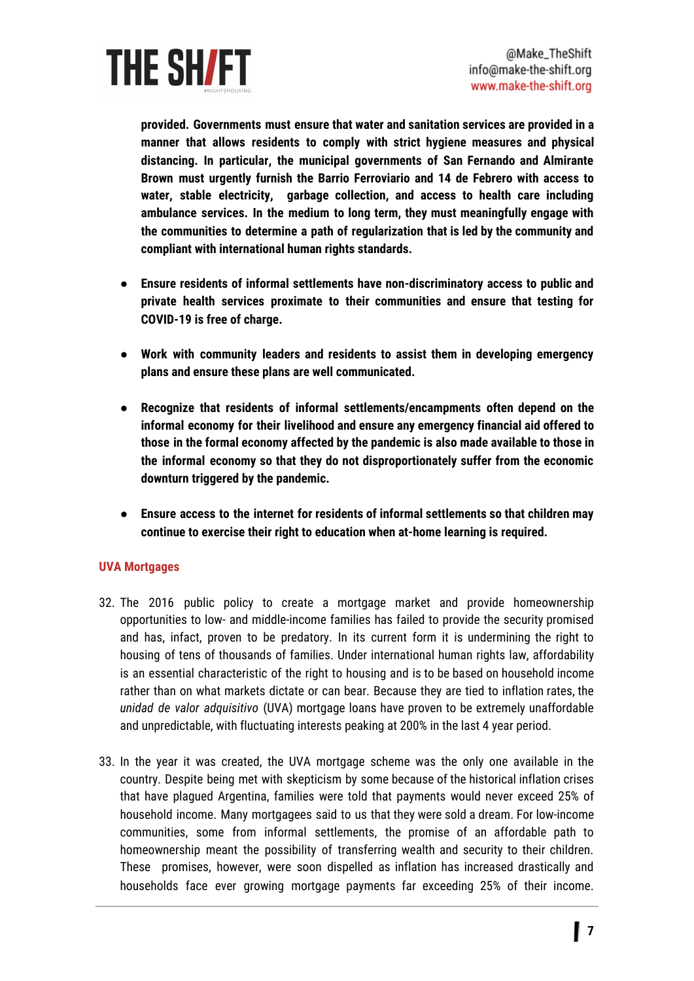

**provided. Governments must ensure that water and sanitation services are provided in a manner that allows residents to comply with strict hygiene measures and physical distancing. In particular, the municipal governments of San Fernando and Almirante Brown must urgently furnish the Barrio Ferroviario and 14 de Febrero with access to water, stable electricity, garbage collection, and access to health care including ambulance services. In the medium to long term, they must meaningfully engage with the communities to determine a path of regularization that is led by the community and compliant with international human rights standards.**

- **● Ensure residents of informal settlements have non-discriminatory access to public and private health services proximate to their communities and ensure that testing for COVID-19 is free of charge.**
- **● Work with community leaders and residents to assist them in developing emergency plans and ensure these plans are well communicated.**
- **● Recognize that residents of informal settlements/encampments often depend on the informal economy for their livelihood and ensure any emergency financial aid offered to those in the formal economy affected by the pandemic is also made available to those in the informal economy so that they do not disproportionately suffer from the economic downturn triggered by the pandemic.**
- **● Ensure access to the internet for residents of informal settlements so that children may continue to exercise their right to education when at-home learning is required.**

### **UVA Mortgages**

- 32. The 2016 public policy to create a mortgage market and provide homeownership opportunities to low- and middle-income families has failed to provide the security promised and has, infact, proven to be predatory. In its current form it is undermining the right to housing of tens of thousands of families. Under international human rights law, affordability is an essential characteristic of the right to housing and is to be based on household income rather than on what markets dictate or can bear. Because they are tied to inflation rates, the *unidad de valor adquisitivo* (UVA) mortgage loans have proven to be extremely unaffordable and unpredictable, with fluctuating interests peaking at 200% in the last 4 year period.
- 33. In the year it was created, the UVA mortgage scheme was the only one available in the country. Despite being met with skepticism by some because of the historical inflation crises that have plagued Argentina, families were told that payments would never exceed 25% of household income. Many mortgagees said to us that they were sold a dream. For low-income communities, some from informal settlements, the promise of an affordable path to homeownership meant the possibility of transferring wealth and security to their children. These promises, however, were soon dispelled as inflation has increased drastically and households face ever growing mortgage payments far exceeding 25% of their income.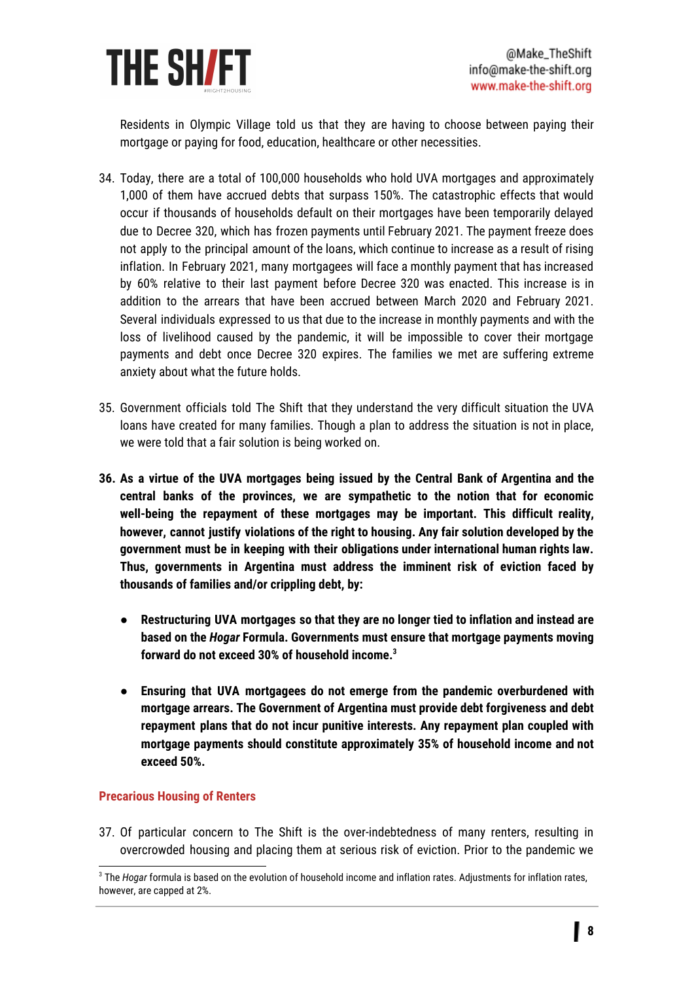

Residents in Olympic Village told us that they are having to choose between paying their mortgage or paying for food, education, healthcare or other necessities.

- 34. Today, there are a total of 100,000 households who hold UVA mortgages and approximately 1,000 of them have accrued debts that surpass 150%. The catastrophic effects that would occur if thousands of households default on their mortgages have been temporarily delayed due to Decree 320, which has frozen payments until February 2021. The payment freeze does not apply to the principal amount of the loans, which continue to increase as a result of rising inflation. In February 2021, many mortgagees will face a monthly payment that has increased by 60% relative to their last payment before Decree 320 was enacted. This increase is in addition to the arrears that have been accrued between March 2020 and February 2021. Several individuals expressed to us that due to the increase in monthly payments and with the loss of livelihood caused by the pandemic, it will be impossible to cover their mortgage payments and debt once Decree 320 expires. The families we met are suffering extreme anxiety about what the future holds.
- 35. Government officials told The Shift that they understand the very difficult situation the UVA loans have created for many families. Though a plan to address the situation is not in place, we were told that a fair solution is being worked on.
- **36. As a virtue of the UVA mortgages being issued by the Central Bank of Argentina and the central banks of the provinces, we are sympathetic to the notion that for economic well-being the repayment of these mortgages may be important. This difficult reality, however, cannot justify violations of the right to housing. Any fair solution developed by the government must be in keeping with their obligations under international human rights law. Thus, governments in Argentina must address the imminent risk of eviction faced by thousands of families and/or crippling debt, by:**
	- **● Restructuring UVA mortgages so that they are no longer tied to inflation and instead are based on the** *Hogar* **Formula. Governments must ensure that mortgage payments moving forward do not exceed 30% of household income. 3**
	- **● Ensuring that UVA mortgagees do not emerge from the pandemic overburdened with mortgage arrears. The Government of Argentina must provide debt forgiveness and debt repayment plans that do not incur punitive interests. Any repayment plan coupled with mortgage payments should constitute approximately 35% of household income and not exceed 50%.**

#### **Precarious Housing of Renters**

37. Of particular concern to The Shift is the over-indebtedness of many renters, resulting in overcrowded housing and placing them at serious risk of eviction. Prior to the pandemic we

<sup>3</sup> The *Hogar* formula is based on the evolution of household income and inflation rates. Adjustments for inflation rates, however, are capped at 2%.